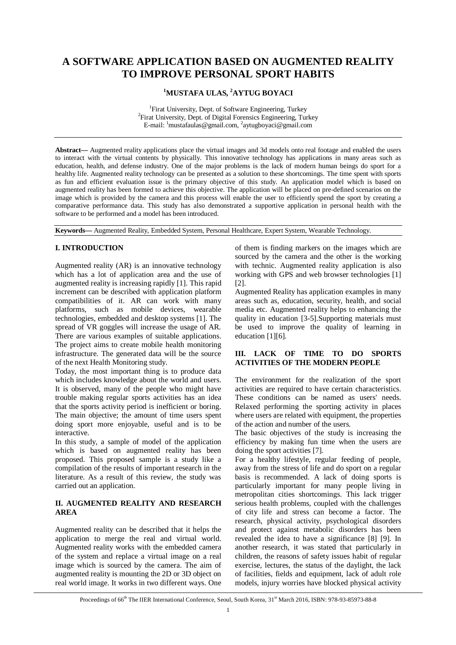# **A SOFTWARE APPLICATION BASED ON AUGMENTED REALITY TO IMPROVE PERSONAL SPORT HABITS**

# **<sup>1</sup>MUSTAFA ULAS, <sup>2</sup>AYTUG BOYACI**

<sup>1</sup>Firat University, Dept. of Software Engineering, Turkey <sup>2</sup>Firat University, Dept. of Digital Forensics Engineering, Turkey E-mail: <sup>1</sup>mustafaulas@gmail.com, <sup>2</sup>aytugboyaci@gmail.com

**Abstract—** Augmented reality applications place the virtual images and 3d models onto real footage and enabled the users to interact with the virtual contents by physically. This innovative technology has applications in many areas such as education, health, and defense industry. One of the major problems is the lack of modern human beings do sport for a healthy life. Augmented reality technology can be presented as a solution to these shortcomings. The time spent with sports as fun and efficient evaluation issue is the primary objective of this study. An application model which is based on augmented reality has been formed to achieve this objective. The application will be placed on pre-defined scenarios on the image which is provided by the camera and this process will enable the user to efficiently spend the sport by creating a comparative performance data. This study has also demonstrated a supportive application in personal health with the software to be performed and a model has been introduced.

**Keywords—** Augmented Reality, Embedded System, Personal Healthcare, Expert System, Wearable Technology.

# **I. INTRODUCTION**

Augmented reality (AR) is an innovative technology which has a lot of application area and the use of augmented reality is increasing rapidly [1]. This rapid increment can be described with application platform compatibilities of it. AR can work with many platforms, such as mobile devices, wearable technologies, embedded and desktop systems [1]. The spread of VR goggles will increase the usage of AR. There are various examples of suitable applications. The project aims to create mobile health monitoring infrastructure. The generated data will be the source of the next Health Monitoring study.

Today, the most important thing is to produce data which includes knowledge about the world and users. It is observed, many of the people who might have trouble making regular sports activities has an idea that the sports activity period is inefficient or boring. The main objective; the amount of time users spent doing sport more enjoyable, useful and is to be interactive.

In this study, a sample of model of the application which is based on augmented reality has been proposed. This proposed sample is a study like a compilation of the results of important research in the literature. As a result of this review, the study was carried out an application.

# **II. AUGMENTED REALITY AND RESEARCH AREA**

Augmented reality can be described that it helps the application to merge the real and virtual world. Augmented reality works with the embedded camera of the system and replace a virtual image on a real image which is sourced by the camera. The aim of augmented reality is mounting the 2D or 3D object on real world image. It works in two different ways. One

of them is finding markers on the images which are sourced by the camera and the other is the working with technic. Augmented reality application is also working with GPS and web browser technologies [1] [2].

Augmented Reality has application examples in many areas such as, education, security, health, and social media etc. Augmented reality helps to enhancing the quality in education [3-5].Supporting materials must be used to improve the quality of learning in education [1][6].

# **III. LACK OF TIME TO DO SPORTS ACTIVITIES OF THE MODERN PEOPLE**

The environment for the realization of the sport activities are required to have certain characteristics. These conditions can be named as users' needs. Relaxed performing the sporting activity in places where users are related with equipment, the properties of the action and number of the users.

The basic objectives of the study is increasing the efficiency by making fun time when the users are doing the sport activities [7].

For a healthy lifestyle, regular feeding of people, away from the stress of life and do sport on a regular basis is recommended. A lack of doing sports is particularly important for many people living in metropolitan cities shortcomings. This lack trigger serious health problems, coupled with the challenges of city life and stress can become a factor. The research, physical activity, psychological disorders and protect against metabolic disorders has been revealed the idea to have a significance [8] [9]. In another research, it was stated that particularly in children, the reasons of safety issues habit of regular exercise, lectures, the status of the daylight, the lack of facilities, fields and equipment, lack of adult role models, injury worries have blocked physical activity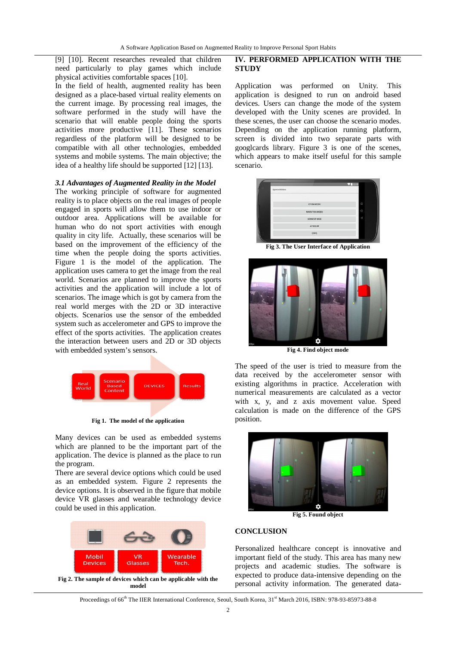[9] [10]. Recent researches revealed that children need particularly to play games which include physical activities comfortable spaces [10].

In the field of health, augmented reality has been designed as a place-based virtual reality elements on the current image. By processing real images, the software performed in the study will have the scenario that will enable people doing the sports activities more productive [11]. These scenarios regardless of the platform will be designed to be compatible with all other technologies, embedded systems and mobile systems. The main objective; the idea of a healthy life should be supported [12] [13].

#### *3.1 Advantages of Augmented Reality in the Model*

The working principle of software for augmented reality is to place objects on the real images of people engaged in sports will allow them to use indoor or outdoor area. Applications will be available for human who do not sport activities with enough quality in city life. Actually, these scenarios will be based on the improvement of the efficiency of the time when the people doing the sports activities. Figure 1 is the model of the application. The application uses camera to get the image from the real world. Scenarios are planned to improve the sports activities and the application will include a lot of scenarios. The image which is got by camera from the real world merges with the 2D or 3D interactive objects. Scenarios use the sensor of the embedded system such as accelerometer and GPS to improve the effect of the sports activities. The application creates the interaction between users and 2D or 3D objects with embedded system's sensors.



**Fig 1. The model of the application**

Many devices can be used as embedded systems which are planned to be the important part of the application. The device is planned as the place to run the program.

There are several device options which could be used as an embedded system. Figure 2 represents the device options. It is observed in the figure that mobile device VR glasses and wearable technology device could be used in this application.



# **IV. PERFORMED APPLICATION WITH THE STUDY**

Application was performed on Unity. This application is designed to run on android based devices. Users can change the mode of the system developed with the Unity scenes are provided. In these scenes, the user can choose the scenario modes. Depending on the application running platform, screen is divided into two separate parts with googlcards library. Figure 3 is one of the scenes, which appears to make itself useful for this sample scenario.



**Fig 3. The User Interface of Application**



**Fig 4. Find object mode**

The speed of the user is tried to measure from the data received by the accelerometer sensor with existing algorithms in practice. Acceleration with numerical measurements are calculated as a vector with x, y, and z axis movement value. Speed calculation is made on the difference of the GPS position.



**Fig 5. Found object**

### **CONCLUSION**

Personalized healthcare concept is innovative and important field of the study. This area has many new projects and academic studies. The software is expected to produce data-intensive depending on the personal activity information. The generated data-

Proceedings of 66<sup>th</sup> The IIER International Conference, Seoul, South Korea, 31st March 2016, ISBN: 978-93-85973-88-8